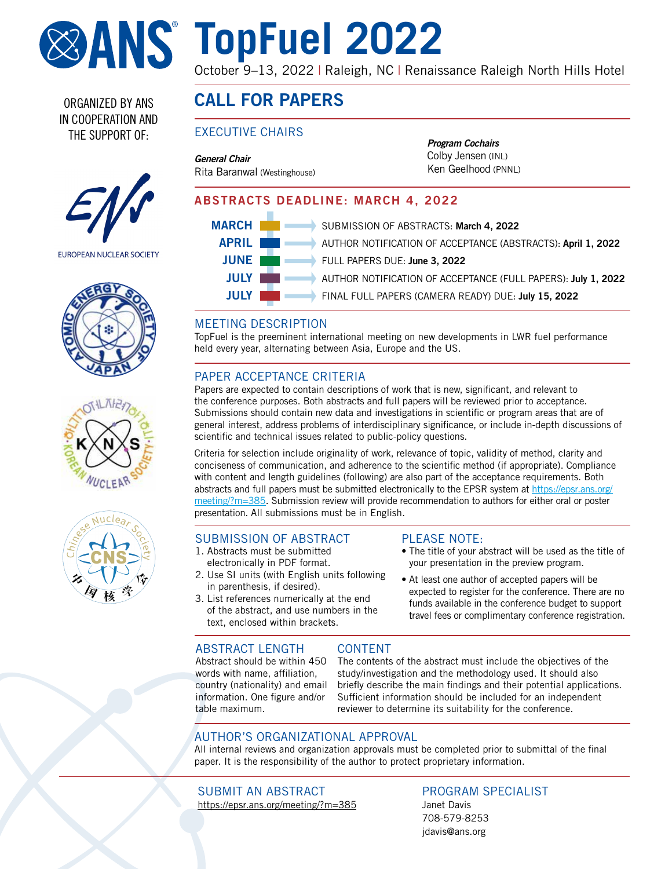

# **TopFuel 2022**

October 9-13, 2022 | Raleigh, NC | Renaissance Raleigh North Hills Hotel

ORGANIZED BY ANS IN COOPERATION AND THE SUPPORT OF:



EUROPEAN NUCLEAR SOCIETY







# CALL FOR PAPERS

### EXECUTIVE CHAIRS

*General Chair* Rita Baranwal (Westinghouse) *Program Cochairs* Colby Jensen (INL) Ken Geelhood (PNNL)

### ABSTRACTS DEADLINE: MARCH 4, 2022



#### MEETING DESCRIPTION

TopFuel is the preeminent international meeting on new developments in LWR fuel performance held every year, alternating between Asia, Europe and the US.

### PAPER ACCEPTANCE CRITERIA

Papers are expected to contain descriptions of work that is new, significant, and relevant to the conference purposes. Both abstracts and full papers will be reviewed prior to acceptance. Submissions should contain new data and investigations in scientific or program areas that are of general interest, address problems of interdisciplinary significance, or include in-depth discussions of scientific and technical issues related to public-policy questions.

Criteria for selection include originality of work, relevance of topic, validity of method, clarity and conciseness of communication, and adherence to the scientific method (if appropriate). Compliance with content and length guidelines (following) are also part of the acceptance requirements. Both abstracts and full papers must be submitted electronically to the EPSR system at [https://epsr.ans.org/](https://epsr.ans.org/meeting/?m=385) [meeting/?m=385](https://epsr.ans.org/meeting/?m=385). Submission review will provide recommendation to authors for either oral or poster presentation. All submissions must be in English.

#### SUBMISSION OF ABSTRACT

- 1. Abstracts must be submitted electronically in PDF format.
- 2. Use SI units (with English units following in parenthesis, if desired).
- 3. List references numerically at the end of the abstract, and use numbers in the text, enclosed within brackets.

#### PLEASE NOTE:

- The title of your abstract will be used as the title of your presentation in the preview program.
- At least one author of accepted papers will be expected to register for the conference. There are no funds available in the conference budget to support travel fees or complimentary conference registration.

#### ABSTRACT LENGTH

Abstract should be within 450 words with name, affiliation, country (nationality) and email information. One figure and/or table maximum.

The contents of the abstract must include the objectives of the study/investigation and the methodology used. It should also briefly describe the main findings and their potential applications. Sufficient information should be included for an independent reviewer to determine its suitability for the conference.

#### AUTHOR'S ORGANIZATIONAL APPROVAL

All internal reviews and organization approvals must be completed prior to submittal of the final paper. It is the responsibility of the author to protect proprietary information.

CONTENT

SUBMIT AN ABSTRACT <https://epsr.ans.org/meeting/?m=385>

#### PROGRAM SPECIALIST Janet Davis

708-579-8253 jdavi[s@ans.org](mailto:jdavis%40ans.org?subject=ICRS14/RPSD2020%20call%20for%20papers)